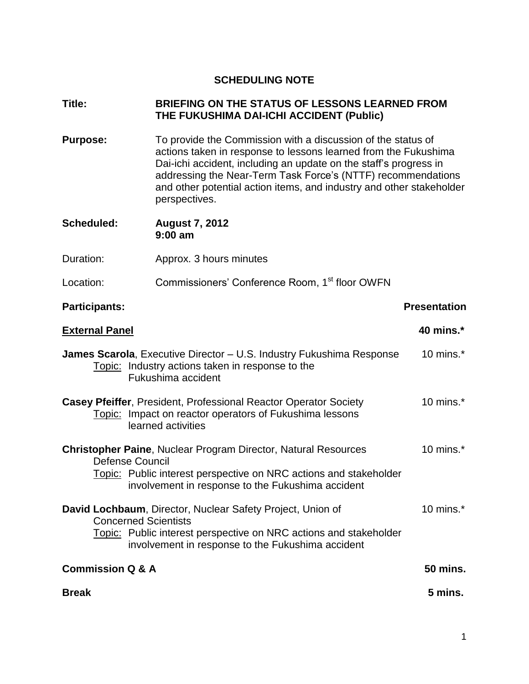# **SCHEDULING NOTE**

#### **Title: BRIEFING ON THE STATUS OF LESSONS LEARNED FROM THE FUKUSHIMA DAI-ICHI ACCIDENT (Public)**

- **Purpose:** To provide the Commission with a discussion of the status of actions taken in response to lessons learned from the Fukushima Dai-ichi accident, including an update on the staff's progress in addressing the Near-Term Task Force's (NTTF) recommendations and other potential action items, and industry and other stakeholder perspectives.
- **Scheduled: August 7, 2012 9:00 am**
- Duration: Approx. 3 hours minutes
- Location: Commissioners' Conference Room, 1<sup>st</sup> floor OWFN

# **Participants:** Participants: Presentation

| <b>External Panel</b>                                                                                                                                                                                               | 40 mins.*       |
|---------------------------------------------------------------------------------------------------------------------------------------------------------------------------------------------------------------------|-----------------|
| <b>James Scarola, Executive Director – U.S. Industry Fukushima Response</b><br>Topic: Industry actions taken in response to the<br>Fukushima accident                                                               | 10 mins. $*$    |
| <b>Casey Pfeiffer, President, Professional Reactor Operator Society</b><br>Topic: Impact on reactor operators of Fukushima lessons<br>learned activities                                                            | 10 mins. $*$    |
| <b>Christopher Paine, Nuclear Program Director, Natural Resources</b><br>Defense Council<br>Topic: Public interest perspective on NRC actions and stakeholder<br>involvement in response to the Fukushima accident  | 10 mins. $*$    |
| David Lochbaum, Director, Nuclear Safety Project, Union of<br><b>Concerned Scientists</b><br>Topic: Public interest perspective on NRC actions and stakeholder<br>involvement in response to the Fukushima accident | 10 mins. $*$    |
| <b>Commission Q &amp; A</b>                                                                                                                                                                                         | <b>50 mins.</b> |
| <b>Break</b>                                                                                                                                                                                                        | 5 mins.         |